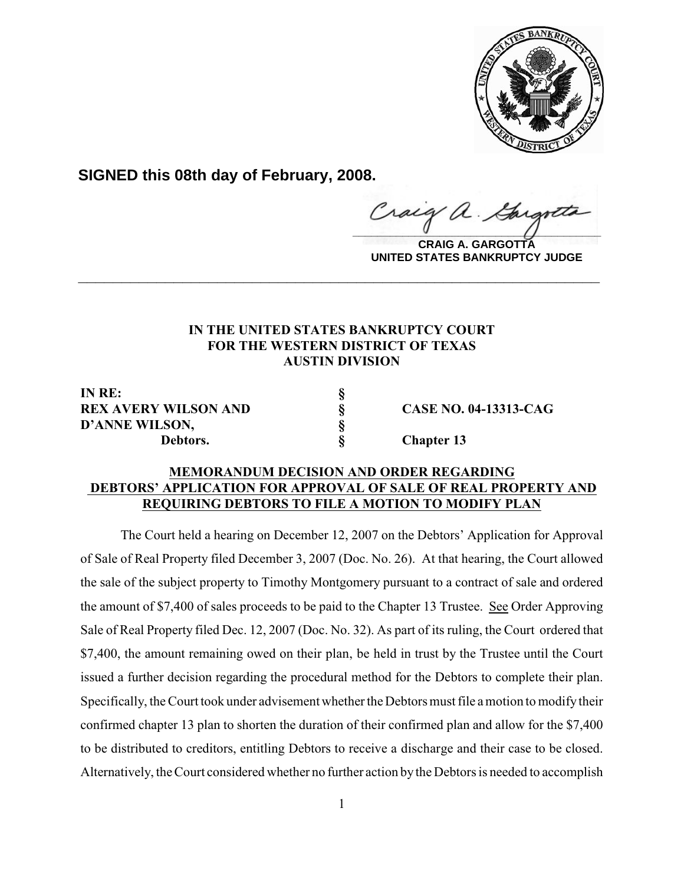

**SIGNED this 08th day of February, 2008.**

 $\frac{1}{2}$ 

**CRAIG A. GARGOTTA UNITED STATES BANKRUPTCY JUDGE**

## **IN THE UNITED STATES BANKRUPTCY COURT FOR THE WESTERN DISTRICT OF TEXAS AUSTIN DIVISION**

**\_\_\_\_\_\_\_\_\_\_\_\_\_\_\_\_\_\_\_\_\_\_\_\_\_\_\_\_\_\_\_\_\_\_\_\_\_\_\_\_\_\_\_\_\_\_\_\_\_\_\_\_\_\_\_\_\_\_\_\_**

**IN RE: § REX AVERY WILSON AND § CASE NO. 04-13313-CAG D'ANNE WILSON, § D'ANNE WILSON, § Debtors. § Chapter 13**

## **MEMORANDUM DECISION AND ORDER REGARDING DEBTORS' APPLICATION FOR APPROVAL OF SALE OF REAL PROPERTY AND REQUIRING DEBTORS TO FILE A MOTION TO MODIFY PLAN**

The Court held a hearing on December 12, 2007 on the Debtors' Application for Approval of Sale of Real Property filed December 3, 2007 (Doc. No. 26). At that hearing, the Court allowed the sale of the subject property to Timothy Montgomery pursuant to a contract of sale and ordered the amount of \$7,400 of sales proceeds to be paid to the Chapter 13 Trustee. See Order Approving Sale of Real Property filed Dec. 12, 2007 (Doc. No. 32). As part of its ruling, the Court ordered that \$7,400, the amount remaining owed on their plan, be held in trust by the Trustee until the Court issued a further decision regarding the procedural method for the Debtors to complete their plan. Specifically, the Court took under advisement whether the Debtors must file a motion to modify their confirmed chapter 13 plan to shorten the duration of their confirmed plan and allow for the \$7,400 to be distributed to creditors, entitling Debtors to receive a discharge and their case to be closed. Alternatively, theCourt considered whether no further action by the Debtors is needed to accomplish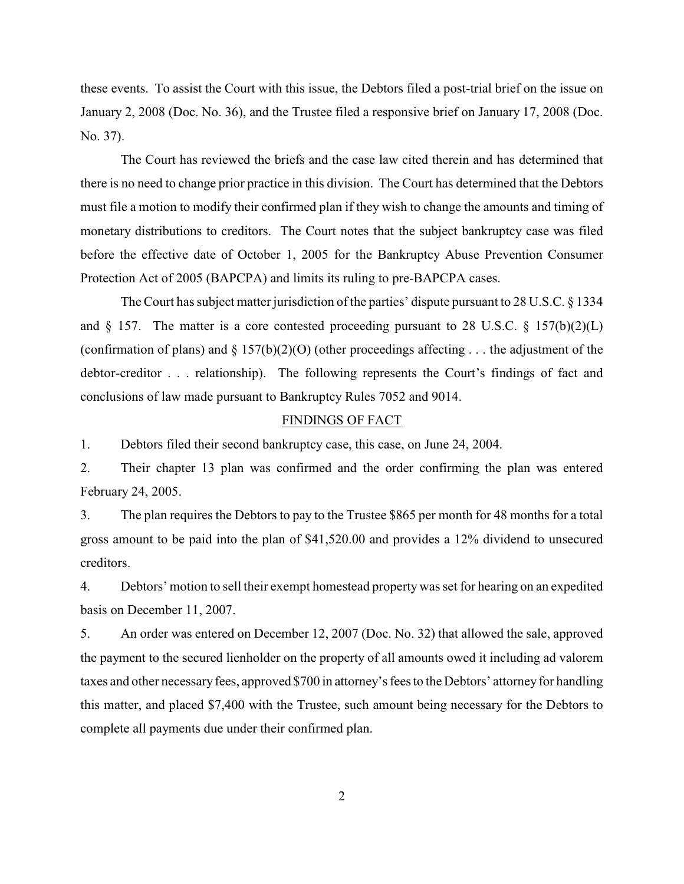these events. To assist the Court with this issue, the Debtors filed a post-trial brief on the issue on January 2, 2008 (Doc. No. 36), and the Trustee filed a responsive brief on January 17, 2008 (Doc. No. 37).

The Court has reviewed the briefs and the case law cited therein and has determined that there is no need to change prior practice in this division. The Court has determined that the Debtors must file a motion to modify their confirmed plan if they wish to change the amounts and timing of monetary distributions to creditors. The Court notes that the subject bankruptcy case was filed before the effective date of October 1, 2005 for the Bankruptcy Abuse Prevention Consumer Protection Act of 2005 (BAPCPA) and limits its ruling to pre-BAPCPA cases.

The Court has subject matter jurisdiction of the parties' dispute pursuant to 28 U.S.C. § 1334 and  $\S$  157. The matter is a core contested proceeding pursuant to 28 U.S.C.  $\S$  157(b)(2)(L) (confirmation of plans) and  $\S 157(b)(2)(O)$  (other proceedings affecting . . . the adjustment of the debtor-creditor . . . relationship). The following represents the Court's findings of fact and conclusions of law made pursuant to Bankruptcy Rules 7052 and 9014.

## FINDINGS OF FACT

1. Debtors filed their second bankruptcy case, this case, on June 24, 2004.

2. Their chapter 13 plan was confirmed and the order confirming the plan was entered February 24, 2005.

3. The plan requires the Debtors to pay to the Trustee \$865 per month for 48 months for a total gross amount to be paid into the plan of \$41,520.00 and provides a 12% dividend to unsecured creditors.

4. Debtors' motion to sell their exempt homestead property was set for hearing on an expedited basis on December 11, 2007.

5. An order was entered on December 12, 2007 (Doc. No. 32) that allowed the sale, approved the payment to the secured lienholder on the property of all amounts owed it including ad valorem taxes and other necessary fees, approved \$700 in attorney's fees to the Debtors' attorney for handling this matter, and placed \$7,400 with the Trustee, such amount being necessary for the Debtors to complete all payments due under their confirmed plan.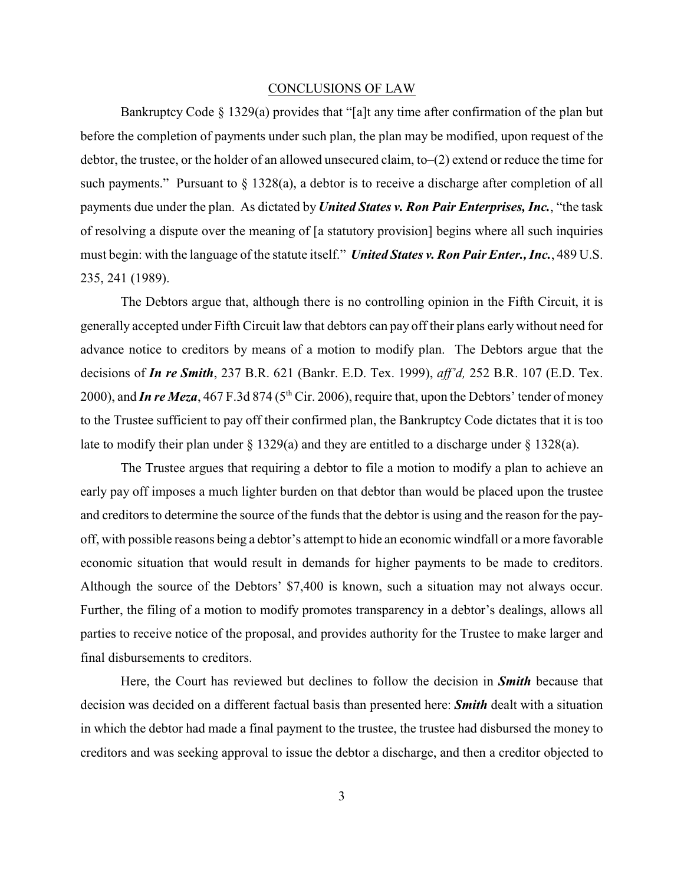## CONCLUSIONS OF LAW

Bankruptcy Code § 1329(a) provides that "[a]t any time after confirmation of the plan but before the completion of payments under such plan, the plan may be modified, upon request of the debtor, the trustee, or the holder of an allowed unsecured claim, to–(2) extend or reduce the time for such payments." Pursuant to  $\S 1328(a)$ , a debtor is to receive a discharge after completion of all payments due under the plan. As dictated by *United States v. Ron Pair Enterprises, Inc.*, "the task of resolving a dispute over the meaning of [a statutory provision] begins where all such inquiries must begin: with the language of the statute itself." *United States v. Ron Pair Enter., Inc.*, 489 U.S. 235, 241 (1989).

The Debtors argue that, although there is no controlling opinion in the Fifth Circuit, it is generally accepted under Fifth Circuit law that debtors can pay off their plans early without need for advance notice to creditors by means of a motion to modify plan. The Debtors argue that the decisions of *In re Smith*, 237 B.R. 621 (Bankr. E.D. Tex. 1999), *aff'd,* 252 B.R. 107 (E.D. Tex. 2000), and *In re Meza*, 467 F.3d 874 (5<sup>th</sup> Cir. 2006), require that, upon the Debtors' tender of money to the Trustee sufficient to pay off their confirmed plan, the Bankruptcy Code dictates that it is too late to modify their plan under  $\S 1329(a)$  and they are entitled to a discharge under  $\S 1328(a)$ .

The Trustee argues that requiring a debtor to file a motion to modify a plan to achieve an early pay off imposes a much lighter burden on that debtor than would be placed upon the trustee and creditors to determine the source of the funds that the debtor is using and the reason for the payoff, with possible reasons being a debtor's attempt to hide an economic windfall or a more favorable economic situation that would result in demands for higher payments to be made to creditors. Although the source of the Debtors' \$7,400 is known, such a situation may not always occur. Further, the filing of a motion to modify promotes transparency in a debtor's dealings, allows all parties to receive notice of the proposal, and provides authority for the Trustee to make larger and final disbursements to creditors.

Here, the Court has reviewed but declines to follow the decision in *Smith* because that decision was decided on a different factual basis than presented here: *Smith* dealt with a situation in which the debtor had made a final payment to the trustee, the trustee had disbursed the money to creditors and was seeking approval to issue the debtor a discharge, and then a creditor objected to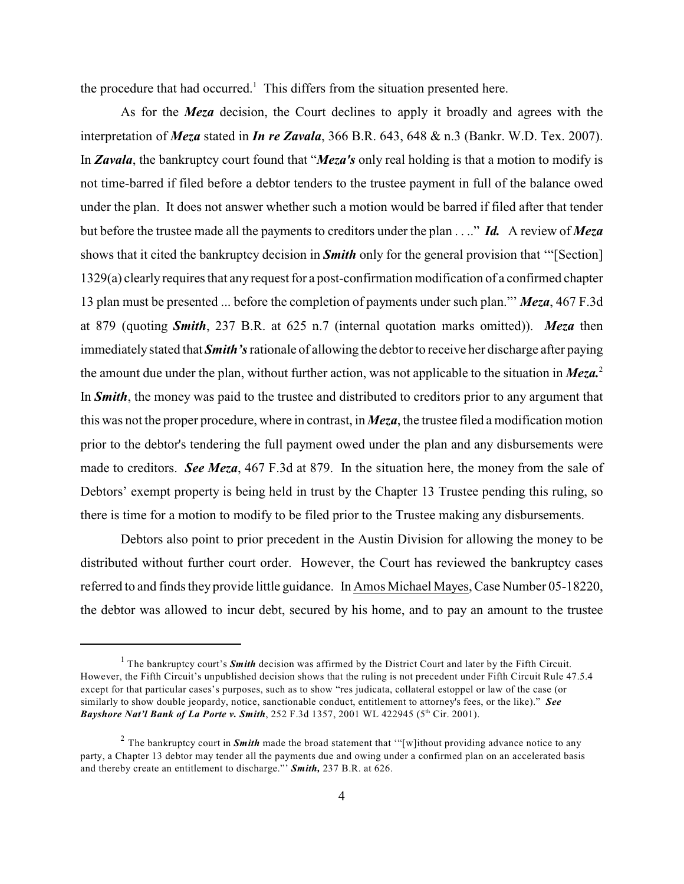the procedure that had occurred.<sup>1</sup> This differs from the situation presented here.

As for the *Meza* decision, the Court declines to apply it broadly and agrees with the interpretation of *Meza* stated in *In re Zavala*, 366 B.R. 643, 648 & n.3 (Bankr. W.D. Tex. 2007). In *Zavala*, the bankruptcy court found that "*Meza's* only real holding is that a motion to modify is not time-barred if filed before a debtor tenders to the trustee payment in full of the balance owed under the plan. It does not answer whether such a motion would be barred if filed after that tender but before the trustee made all the payments to creditors under the plan . . .." *Id.* A review of *Meza* shows that it cited the bankruptcy decision in *Smith* only for the general provision that '"[Section] 1329(a) clearly requires that any request for a post-confirmation modification of a confirmed chapter 13 plan must be presented ... before the completion of payments under such plan."' *Meza*, 467 F.3d at 879 (quoting *Smith*, 237 B.R. at 625 n.7 (internal quotation marks omitted)). *Meza* then immediately stated that *Smith's* rationale of allowing the debtor to receive her discharge after paying the amount due under the plan, without further action, was not applicable to the situation in *Meza.*<sup>2</sup> In *Smith*, the money was paid to the trustee and distributed to creditors prior to any argument that this was not the proper procedure, where in contrast, in *Meza*, the trustee filed a modification motion prior to the debtor's tendering the full payment owed under the plan and any disbursements were made to creditors. *See Meza*, 467 F.3d at 879. In the situation here, the money from the sale of Debtors' exempt property is being held in trust by the Chapter 13 Trustee pending this ruling, so there is time for a motion to modify to be filed prior to the Trustee making any disbursements.

Debtors also point to prior precedent in the Austin Division for allowing the money to be distributed without further court order. However, the Court has reviewed the bankruptcy cases referred to and finds they provide little guidance. In Amos Michael Mayes, Case Number 05-18220, the debtor was allowed to incur debt, secured by his home, and to pay an amount to the trustee

<sup>&</sup>lt;sup>1</sup> The bankruptcy court's *Smith* decision was affirmed by the District Court and later by the Fifth Circuit. However, the Fifth Circuit's unpublished decision shows that the ruling is not precedent under Fifth Circuit Rule 47.5.4 except for that particular cases's purposes, such as to show "res judicata, collateral estoppel or law of the case (or similarly to show double jeopardy, notice, sanctionable conduct, entitlement to attorney's fees, or the like)." *See Bayshore Nat'l Bank of La Porte v. Smith*, 252 F.3d 1357, 2001 WL 422945 (5<sup>th</sup> Cir. 2001).

<sup>&</sup>lt;sup>2</sup> The bankruptcy court in **Smith** made the broad statement that "[w]ithout providing advance notice to any party, a Chapter 13 debtor may tender all the payments due and owing under a confirmed plan on an accelerated basis and thereby create an entitlement to discharge."' *Smith,* 237 B.R. at 626.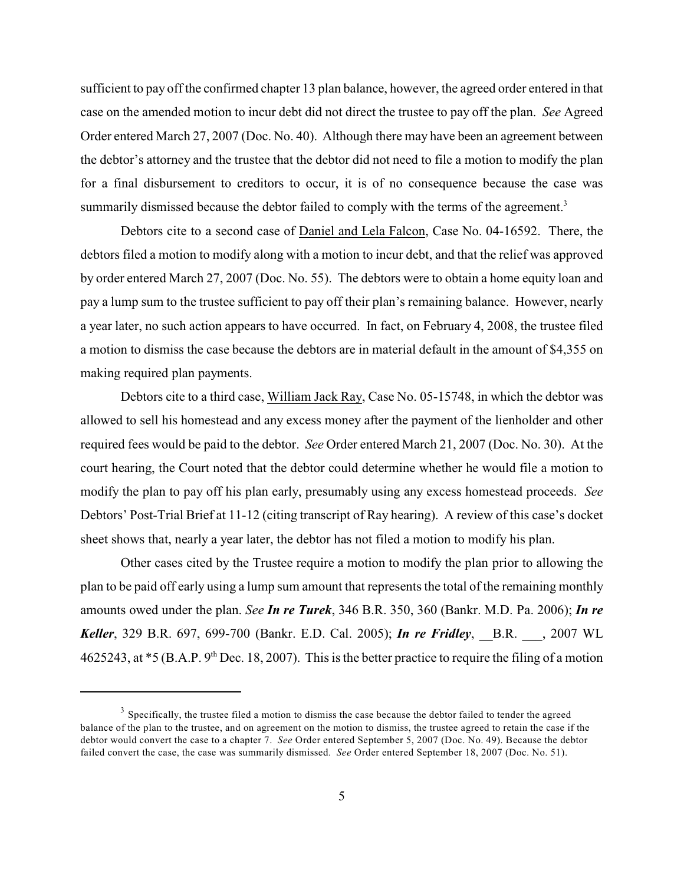sufficient to pay off the confirmed chapter 13 plan balance, however, the agreed order entered in that case on the amended motion to incur debt did not direct the trustee to pay off the plan. *See* Agreed Order entered March 27, 2007 (Doc. No. 40). Although there may have been an agreement between the debtor's attorney and the trustee that the debtor did not need to file a motion to modify the plan for a final disbursement to creditors to occur, it is of no consequence because the case was summarily dismissed because the debtor failed to comply with the terms of the agreement.<sup>3</sup>

Debtors cite to a second case of Daniel and Lela Falcon, Case No. 04-16592. There, the debtors filed a motion to modify along with a motion to incur debt, and that the relief was approved by order entered March 27, 2007 (Doc. No. 55). The debtors were to obtain a home equity loan and pay a lump sum to the trustee sufficient to pay off their plan's remaining balance. However, nearly a year later, no such action appears to have occurred. In fact, on February 4, 2008, the trustee filed a motion to dismiss the case because the debtors are in material default in the amount of \$4,355 on making required plan payments.

Debtors cite to a third case, William Jack Ray, Case No. 05-15748, in which the debtor was allowed to sell his homestead and any excess money after the payment of the lienholder and other required fees would be paid to the debtor. *See* Order entered March 21, 2007 (Doc. No. 30). At the court hearing, the Court noted that the debtor could determine whether he would file a motion to modify the plan to pay off his plan early, presumably using any excess homestead proceeds. *See* Debtors' Post-Trial Brief at 11-12 (citing transcript of Ray hearing). A review of this case's docket sheet shows that, nearly a year later, the debtor has not filed a motion to modify his plan.

Other cases cited by the Trustee require a motion to modify the plan prior to allowing the plan to be paid off early using a lump sum amount that represents the total of the remaining monthly amounts owed under the plan. *See In re Turek*, 346 B.R. 350, 360 (Bankr. M.D. Pa. 2006); *In re Keller*, 329 B.R. 697, 699-700 (Bankr. E.D. Cal. 2005); *In re Fridley*, \_\_B.R. \_\_\_, 2007 WL 4625243, at  $*5$  (B.A.P. 9<sup>th</sup> Dec. 18, 2007). This is the better practice to require the filing of a motion

<sup>&</sup>lt;sup>3</sup> Specifically, the trustee filed a motion to dismiss the case because the debtor failed to tender the agreed balance of the plan to the trustee, and on agreement on the motion to dismiss, the trustee agreed to retain the case if the debtor would convert the case to a chapter 7. *See* Order entered September 5, 2007 (Doc. No. 49). Because the debtor failed convert the case, the case was summarily dismissed. *See* Order entered September 18, 2007 (Doc. No. 51).